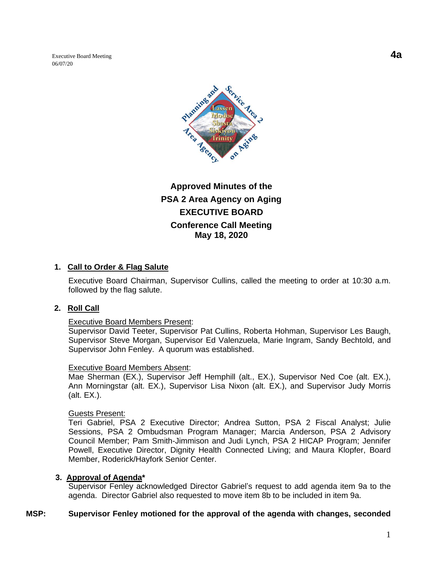Executive Board Meeting **4a** 06/07/20



# **Approved Minutes of the PSA 2 Area Agency on Aging EXECUTIVE BOARD Conference Call Meeting May 18, 2020**

### **1. Call to Order & Flag Salute**

Executive Board Chairman, Supervisor Cullins, called the meeting to order at 10:30 a.m. followed by the flag salute.

#### **2. Roll Call**

#### Executive Board Members Present:

Supervisor David Teeter, Supervisor Pat Cullins, Roberta Hohman, Supervisor Les Baugh, Supervisor Steve Morgan, Supervisor Ed Valenzuela, Marie Ingram, Sandy Bechtold, and Supervisor John Fenley. A quorum was established.

#### Executive Board Members Absent:

Mae Sherman (EX.), Supervisor Jeff Hemphill (alt., EX.), Supervisor Ned Coe (alt. EX.), Ann Morningstar (alt. EX.), Supervisor Lisa Nixon (alt. EX.), and Supervisor Judy Morris (alt. EX.).

#### Guests Present:

Teri Gabriel, PSA 2 Executive Director; Andrea Sutton, PSA 2 Fiscal Analyst; Julie Sessions, PSA 2 Ombudsman Program Manager; Marcia Anderson, PSA 2 Advisory Council Member; Pam Smith-Jimmison and Judi Lynch, PSA 2 HICAP Program; Jennifer Powell, Executive Director, Dignity Health Connected Living; and Maura Klopfer, Board Member, Roderick/Hayfork Senior Center.

#### **3. Approval of Agenda\***

Supervisor Fenley acknowledged Director Gabriel's request to add agenda item 9a to the agenda. Director Gabriel also requested to move item 8b to be included in item 9a.

#### **MSP: Supervisor Fenley motioned for the approval of the agenda with changes, seconded**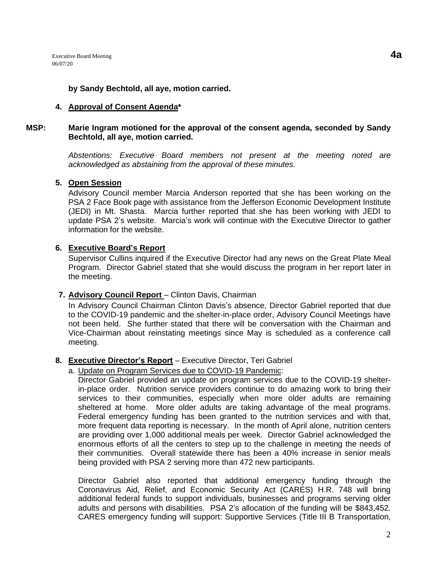#### **4. Approval of Consent Agenda\***

#### **MSP: Marie Ingram motioned for the approval of the consent agenda, seconded by Sandy Bechtold, all aye, motion carried.**

*Abstentions: Executive Board members not present at the meeting noted are acknowledged as abstaining from the approval of these minutes.*

#### **5. Open Session**

Advisory Council member Marcia Anderson reported that she has been working on the PSA 2 Face Book page with assistance from the Jefferson Economic Development Institute (JEDI) in Mt. Shasta. Marcia further reported that she has been working with JEDI to update PSA 2's website. Marcia's work will continue with the Executive Director to gather information for the website.

#### **6. Executive Board's Report**

Supervisor Cullins inquired if the Executive Director had any news on the Great Plate Meal Program. Director Gabriel stated that she would discuss the program in her report later in the meeting.

#### **7. Advisory Council Report** – Clinton Davis, Chairman

In Advisory Council Chairman Clinton Davis's absence, Director Gabriel reported that due to the COVID-19 pandemic and the shelter-in-place order, Advisory Council Meetings have not been held. She further stated that there will be conversation with the Chairman and Vice-Chairman about reinstating meetings since May is scheduled as a conference call meeting.

#### **8. Executive Director's Report** – Executive Director, Teri Gabriel

a. Update on Program Services due to COVID-19 Pandemic:

Director Gabriel provided an update on program services due to the COVID-19 shelterin-place order. Nutrition service providers continue to do amazing work to bring their services to their communities, especially when more older adults are remaining sheltered at home. More older adults are taking advantage of the meal programs. Federal emergency funding has been granted to the nutrition services and with that, more frequent data reporting is necessary. In the month of April alone, nutrition centers are providing over 1,000 additional meals per week. Director Gabriel acknowledged the enormous efforts of all the centers to step up to the challenge in meeting the needs of their communities. Overall statewide there has been a 40% increase in senior meals being provided with PSA 2 serving more than 472 new participants.

Director Gabriel also reported that additional emergency funding through the Coronavirus Aid, Relief, and Economic Security Act (CARES) H.R. 748 will bring additional federal funds to support individuals, businesses and programs serving older adults and persons with disabilities. PSA 2's allocation of the funding will be \$843,452. CARES emergency funding will support: Supportive Services (Title III B Transportation,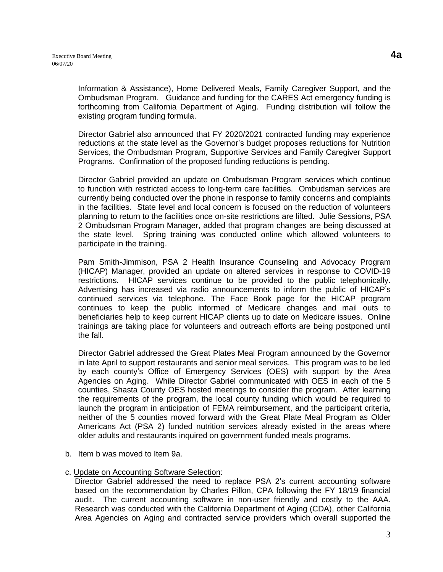Information & Assistance), Home Delivered Meals, Family Caregiver Support, and the Ombudsman Program. Guidance and funding for the CARES Act emergency funding is forthcoming from California Department of Aging. Funding distribution will follow the existing program funding formula.

Director Gabriel also announced that FY 2020/2021 contracted funding may experience reductions at the state level as the Governor's budget proposes reductions for Nutrition Services, the Ombudsman Program, Supportive Services and Family Caregiver Support Programs. Confirmation of the proposed funding reductions is pending.

Director Gabriel provided an update on Ombudsman Program services which continue to function with restricted access to long-term care facilities. Ombudsman services are currently being conducted over the phone in response to family concerns and complaints in the facilities. State level and local concern is focused on the reduction of volunteers planning to return to the facilities once on-site restrictions are lifted. Julie Sessions, PSA 2 Ombudsman Program Manager, added that program changes are being discussed at the state level. Spring training was conducted online which allowed volunteers to participate in the training.

Pam Smith-Jimmison, PSA 2 Health Insurance Counseling and Advocacy Program (HICAP) Manager, provided an update on altered services in response to COVID-19 restrictions. HICAP services continue to be provided to the public telephonically. Advertising has increased via radio announcements to inform the public of HICAP's continued services via telephone. The Face Book page for the HICAP program continues to keep the public informed of Medicare changes and mail outs to beneficiaries help to keep current HICAP clients up to date on Medicare issues. Online trainings are taking place for volunteers and outreach efforts are being postponed until the fall.

Director Gabriel addressed the Great Plates Meal Program announced by the Governor in late April to support restaurants and senior meal services. This program was to be led by each county's Office of Emergency Services (OES) with support by the Area Agencies on Aging. While Director Gabriel communicated with OES in each of the 5 counties, Shasta County OES hosted meetings to consider the program. After learning the requirements of the program, the local county funding which would be required to launch the program in anticipation of FEMA reimbursement, and the participant criteria, neither of the 5 counties moved forward with the Great Plate Meal Program as Older Americans Act (PSA 2) funded nutrition services already existed in the areas where older adults and restaurants inquired on government funded meals programs.

b. Item b was moved to Item 9a.

#### c. Update on Accounting Software Selection:

Director Gabriel addressed the need to replace PSA 2's current accounting software based on the recommendation by Charles Pillon, CPA following the FY 18/19 financial audit. The current accounting software in non-user friendly and costly to the AAA. Research was conducted with the California Department of Aging (CDA), other California Area Agencies on Aging and contracted service providers which overall supported the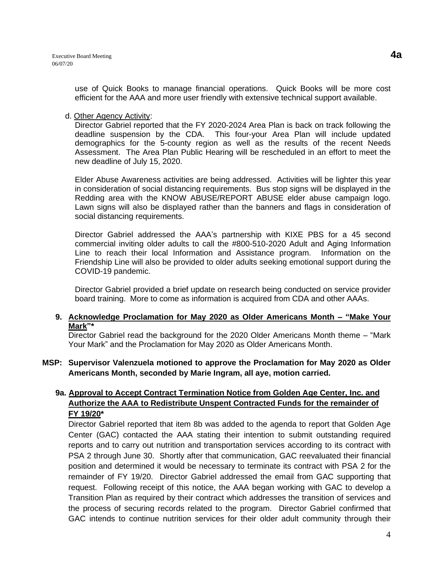use of Quick Books to manage financial operations. Quick Books will be more cost efficient for the AAA and more user friendly with extensive technical support available.

### d. Other Agency Activity:

Director Gabriel reported that the FY 2020-2024 Area Plan is back on track following the deadline suspension by the CDA. This four-your Area Plan will include updated demographics for the 5-county region as well as the results of the recent Needs Assessment. The Area Plan Public Hearing will be rescheduled in an effort to meet the new deadline of July 15, 2020.

Elder Abuse Awareness activities are being addressed. Activities will be lighter this year in consideration of social distancing requirements. Bus stop signs will be displayed in the Redding area with the KNOW ABUSE/REPORT ABUSE elder abuse campaign logo. Lawn signs will also be displayed rather than the banners and flags in consideration of social distancing requirements.

Director Gabriel addressed the AAA's partnership with KIXE PBS for a 45 second commercial inviting older adults to call the #800-510-2020 Adult and Aging Information Line to reach their local Information and Assistance program. Information on the Friendship Line will also be provided to older adults seeking emotional support during the COVID-19 pandemic.

Director Gabriel provided a brief update on research being conducted on service provider board training. More to come as information is acquired from CDA and other AAAs.

#### **9. Acknowledge Proclamation for May 2020 as Older Americans Month – "Make Your Mark"\***

Director Gabriel read the background for the 2020 Older Americans Month theme – "Mark Your Mark" and the Proclamation for May 2020 as Older Americans Month.

### **MSP: Supervisor Valenzuela motioned to approve the Proclamation for May 2020 as Older Americans Month, seconded by Marie Ingram, all aye, motion carried.**

# **9a. Approval to Accept Contract Termination Notice from Golden Age Center, Inc. and Authorize the AAA to Redistribute Unspent Contracted Funds for the remainder of FY 19/20\***

Director Gabriel reported that item 8b was added to the agenda to report that Golden Age Center (GAC) contacted the AAA stating their intention to submit outstanding required reports and to carry out nutrition and transportation services according to its contract with PSA 2 through June 30. Shortly after that communication, GAC reevaluated their financial position and determined it would be necessary to terminate its contract with PSA 2 for the remainder of FY 19/20. Director Gabriel addressed the email from GAC supporting that request. Following receipt of this notice, the AAA began working with GAC to develop a Transition Plan as required by their contract which addresses the transition of services and the process of securing records related to the program. Director Gabriel confirmed that GAC intends to continue nutrition services for their older adult community through their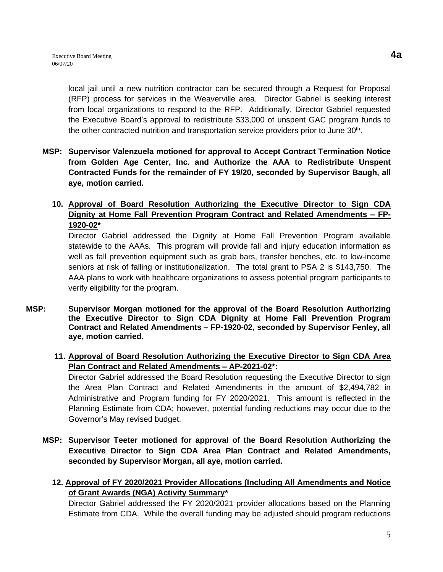local jail until a new nutrition contractor can be secured through a Request for Proposal

(RFP) process for services in the Weaverville area. Director Gabriel is seeking interest from local organizations to respond to the RFP. Additionally, Director Gabriel requested the Executive Board's approval to redistribute \$33,000 of unspent GAC program funds to the other contracted nutrition and transportation service providers prior to June  $30<sup>th</sup>$ .

- **MSP: Supervisor Valenzuela motioned for approval to Accept Contract Termination Notice from Golden Age Center, Inc. and Authorize the AAA to Redistribute Unspent Contracted Funds for the remainder of FY 19/20, seconded by Supervisor Baugh, all aye, motion carried.**
	- **10. Approval of Board Resolution Authorizing the Executive Director to Sign CDA Dignity at Home Fall Prevention Program Contract and Related Amendments – FP-1920-02\***

Director Gabriel addressed the Dignity at Home Fall Prevention Program available statewide to the AAAs. This program will provide fall and injury education information as well as fall prevention equipment such as grab bars, transfer benches, etc. to low-income seniors at risk of falling or institutionalization. The total grant to PSA 2 is \$143,750. The AAA plans to work with healthcare organizations to assess potential program participants to verify eligibility for the program.

- **MSP: Supervisor Morgan motioned for the approval of the Board Resolution Authorizing the Executive Director to Sign CDA Dignity at Home Fall Prevention Program Contract and Related Amendments – FP-1920-02, seconded by Supervisor Fenley, all aye, motion carried.**
	- **11. Approval of Board Resolution Authorizing the Executive Director to Sign CDA Area Plan Contract and Related Amendments – AP-2021-02\*:**

Director Gabriel addressed the Board Resolution requesting the Executive Director to sign the Area Plan Contract and Related Amendments in the amount of \$2,494,782 in Administrative and Program funding for FY 2020/2021. This amount is reflected in the Planning Estimate from CDA; however, potential funding reductions may occur due to the Governor's May revised budget.

- **MSP: Supervisor Teeter motioned for approval of the Board Resolution Authorizing the Executive Director to Sign CDA Area Plan Contract and Related Amendments, seconded by Supervisor Morgan, all aye, motion carried.**
	- **12. Approval of FY 2020/2021 Provider Allocations (Including All Amendments and Notice of Grant Awards (NGA) Activity Summary\***

Director Gabriel addressed the FY 2020/2021 provider allocations based on the Planning Estimate from CDA. While the overall funding may be adjusted should program reductions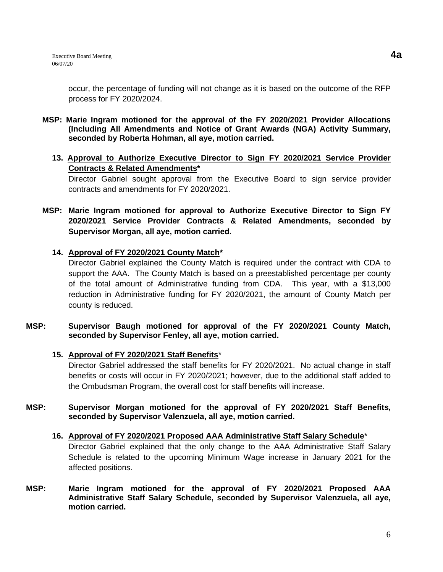occur, the percentage of funding will not change as it is based on the outcome of the RFP process for FY 2020/2024.

- **MSP: Marie Ingram motioned for the approval of the FY 2020/2021 Provider Allocations (Including All Amendments and Notice of Grant Awards (NGA) Activity Summary, seconded by Roberta Hohman, all aye, motion carried.**
	- **13. Approval to Authorize Executive Director to Sign FY 2020/2021 Service Provider Contracts & Related Amendments\***

Director Gabriel sought approval from the Executive Board to sign service provider contracts and amendments for FY 2020/2021.

**MSP: Marie Ingram motioned for approval to Authorize Executive Director to Sign FY 2020/2021 Service Provider Contracts & Related Amendments, seconded by Supervisor Morgan, all aye, motion carried.**

### **14. Approval of FY 2020/2021 County Match\***

Director Gabriel explained the County Match is required under the contract with CDA to support the AAA. The County Match is based on a preestablished percentage per county of the total amount of Administrative funding from CDA. This year, with a \$13,000 reduction in Administrative funding for FY 2020/2021, the amount of County Match per county is reduced.

### **MSP: Supervisor Baugh motioned for approval of the FY 2020/2021 County Match, seconded by Supervisor Fenley, all aye, motion carried.**

### **15. Approval of FY 2020/2021 Staff Benefits**\*

Director Gabriel addressed the staff benefits for FY 2020/2021. No actual change in staff benefits or costs will occur in FY 2020/2021; however, due to the additional staff added to the Ombudsman Program, the overall cost for staff benefits will increase.

- **MSP: Supervisor Morgan motioned for the approval of FY 2020/2021 Staff Benefits, seconded by Supervisor Valenzuela, all aye, motion carried.**
	- **16. Approval of FY 2020/2021 Proposed AAA Administrative Staff Salary Schedule**\* Director Gabriel explained that the only change to the AAA Administrative Staff Salary Schedule is related to the upcoming Minimum Wage increase in January 2021 for the affected positions.
- **MSP: Marie Ingram motioned for the approval of FY 2020/2021 Proposed AAA Administrative Staff Salary Schedule, seconded by Supervisor Valenzuela, all aye, motion carried.**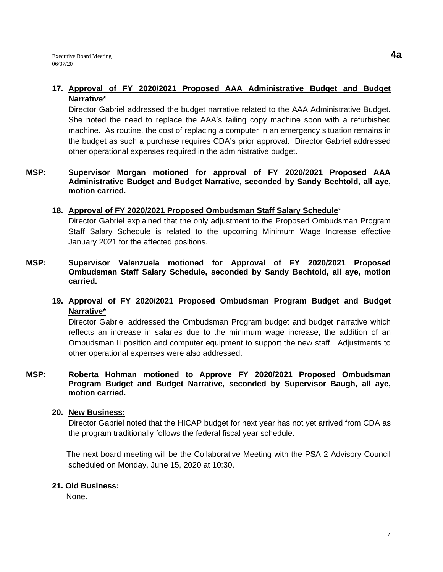### **17. Approval of FY 2020/2021 Proposed AAA Administrative Budget and Budget Narrative**\*

Director Gabriel addressed the budget narrative related to the AAA Administrative Budget. She noted the need to replace the AAA's failing copy machine soon with a refurbished machine. As routine, the cost of replacing a computer in an emergency situation remains in the budget as such a purchase requires CDA's prior approval. Director Gabriel addressed other operational expenses required in the administrative budget.

### **MSP: Supervisor Morgan motioned for approval of FY 2020/2021 Proposed AAA Administrative Budget and Budget Narrative, seconded by Sandy Bechtold, all aye, motion carried.**

### **18. Approval of FY 2020/2021 Proposed Ombudsman Staff Salary Schedule**\*

Director Gabriel explained that the only adjustment to the Proposed Ombudsman Program Staff Salary Schedule is related to the upcoming Minimum Wage Increase effective January 2021 for the affected positions.

### **MSP: Supervisor Valenzuela motioned for Approval of FY 2020/2021 Proposed Ombudsman Staff Salary Schedule, seconded by Sandy Bechtold, all aye, motion carried.**

# **19. Approval of FY 2020/2021 Proposed Ombudsman Program Budget and Budget Narrative\***

Director Gabriel addressed the Ombudsman Program budget and budget narrative which reflects an increase in salaries due to the minimum wage increase, the addition of an Ombudsman II position and computer equipment to support the new staff. Adjustments to other operational expenses were also addressed.

### **MSP: Roberta Hohman motioned to Approve FY 2020/2021 Proposed Ombudsman Program Budget and Budget Narrative, seconded by Supervisor Baugh, all aye, motion carried.**

### **20. New Business:**

Director Gabriel noted that the HICAP budget for next year has not yet arrived from CDA as the program traditionally follows the federal fiscal year schedule.

 The next board meeting will be the Collaborative Meeting with the PSA 2 Advisory Council scheduled on Monday, June 15, 2020 at 10:30.

### **21. Old Business:**

None.